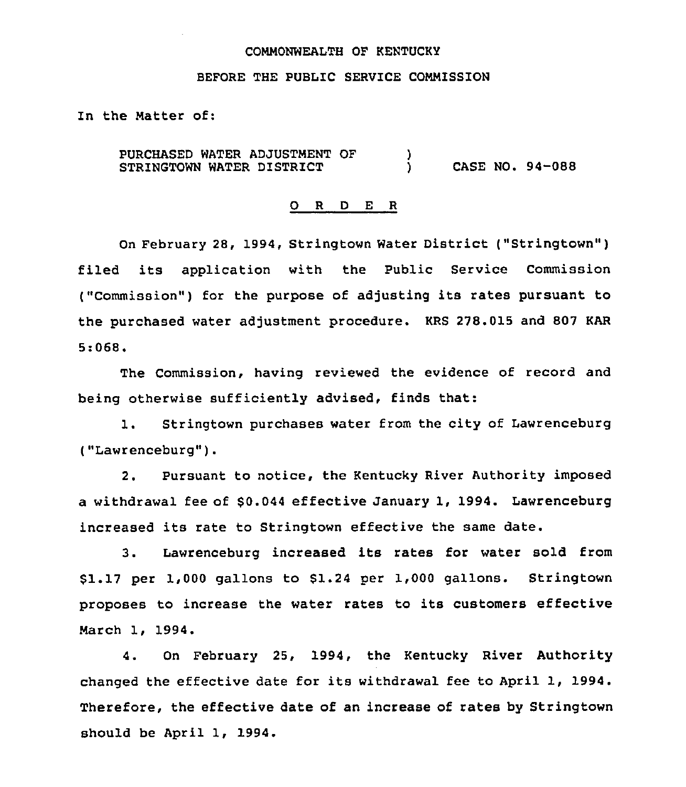### COMMONWEALTH OF KENTUCKI

### BEFORE THE PUBLIC SERVICE COMMISSION

In the Natter of:

PURCHASED WATER ADJUSTMENT OF STRINGTOWN WATER DISTRICT )<br>) ) CASE NO. 94-088

### O R D E R

On February 28, 1994, Stringtown Water District ("Stringtown") filed its application with the Public Service Commission ("Commission") for the purpose of adjusting its rates pursuant to the purchased water adjustment procedure. KRS 278.015 and 807 KAR 5:068.

The Commission, having reviewed the evidence of record and being otherwise sufficiently advised, finds that:

1. Stringtown purchases water from the city of Lawrenceburg ("Lawrenceburg").

2. Pursuant to notice, the Kentucky River Authority imposed a withdrawal fee of \$0.044 effective January 1, 1994. Lawrenceburg increased its rate to Stringtown effective the same date.

3. Lawrenceburg increased its rates for water sold from \$1.17 per 1,000 gallons to 81.24 per 1,000 gallons. Stringtown proposes to increase the water rates to its customers effective March 1, 1994.

4. On February 25, 1994, the Kentucky River Authority changed the effective date for its withdrawal fee to April 1, 1994. Therefore, the effective date of an increase of rates by Stringtown should be April 1, 1994.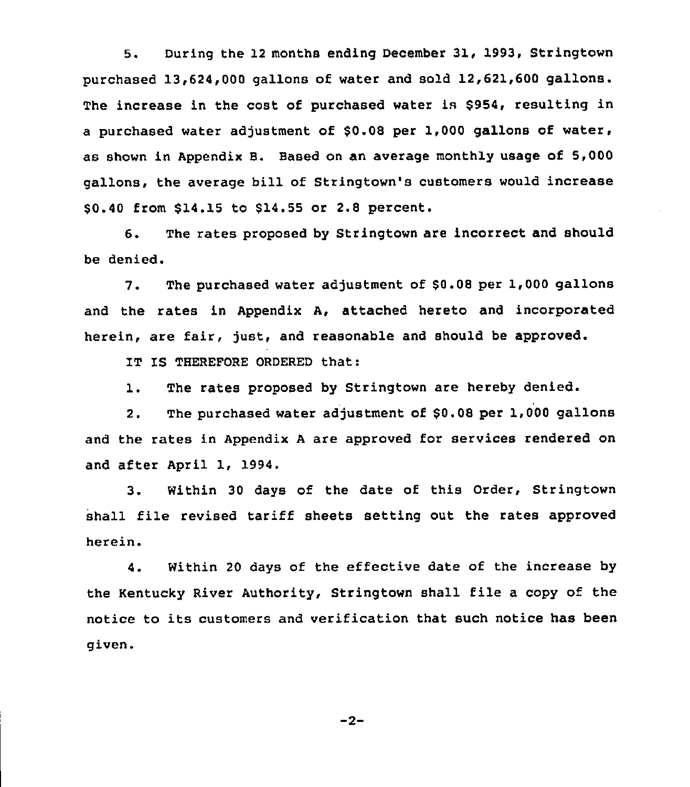5. During the 12 months ending December 31, 1993, Stringtown purchased 13,624,000 gallons of water and sold 12,621,600 gallons. The increase in the cost of purchased water is \$954, resulting in a purchased water adjustment of \$0.08 per 1,000 gallons of water, as shown in Appendix B. Based on an average monthly usage of 5,000 gallons, the average bill of Stringtown's customers would increase \$0.40 from \$14.15 to \$14.55 or 2.8 percent.

6. The rates proposed by Stringtown are incorrect and should be denied.

7. The purchased water adjustment of \$0.08 per 1,000 gallons and the rates in Appendix A, attached hereto and incorporated herein, are fair, just, and reasonable and should be approved.

IT IS THEREFORE ORDERED that:

1. The rates proposed by Stringtown are hereby denied.

2. The purchased water adjustment of \$0.08 per 1,000 gallons and the rates in Appendix <sup>A</sup> are approved for services rendered on and after April 1, 1994.

3. Within 30 days of the date of this Order, Stringtown shall file revised tariff sheets setting out the rates approved herein.

4. Within 20 days of the effective date of the increase by the Kentucky River Authority, Stringtown shall file a copy of the notice to its customers and verification that such notice has been given.

 $-2-$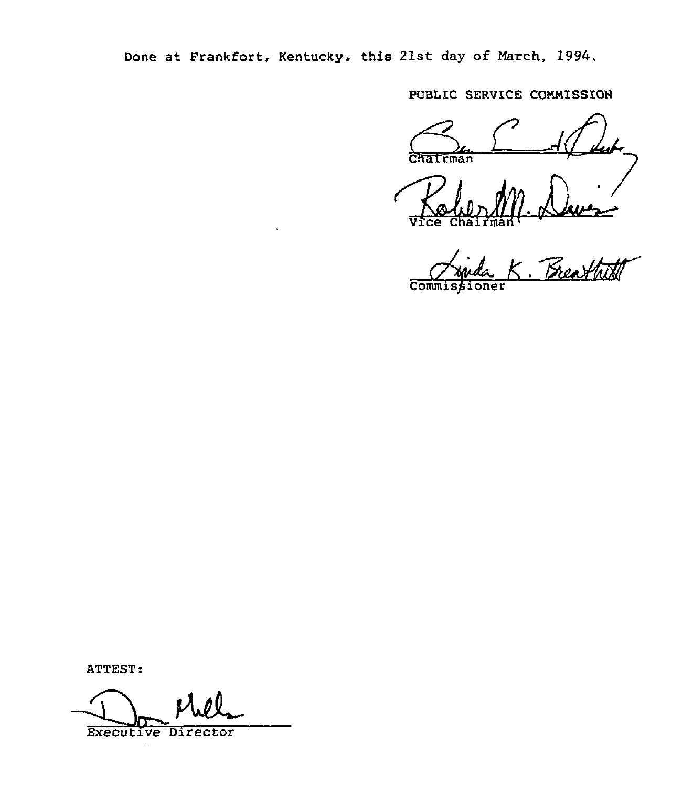Done at Frankfort, Kentucky, this 21st day of March, 1994.

PUBLIC SERUICE COMMISSION

 $\overline{\text{CHatman}}$ 

Vice Chairman<sup>1</sup>

Commise ·<br>Breathit

ATTEST:

Executive Director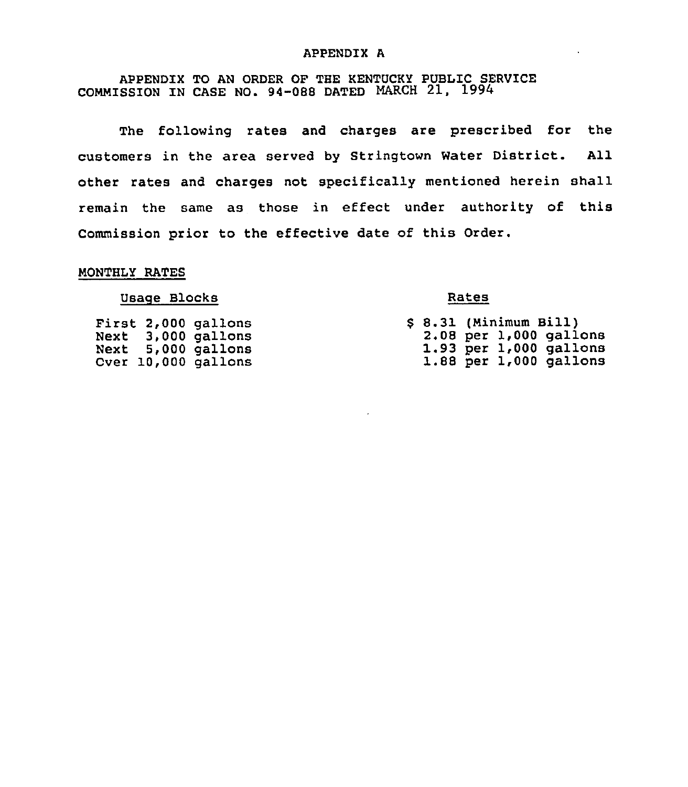### APPENDIX A

APPENDIX TO AN ORDER OF THE KENTUCKY PUBLIC SERVICE COMMISSION IN CASE NO. 94-088 DATED NARCH 21, 1994

The following rates and charges are prescribed for the customers in the area served by Stringtown Water District. All other rates and charges not specifically mentioned herein shall remain the same as those in effect under authority of this Commission prior to the effective date of this Order.

## MONTHLY RATES

### Usage Blocks

First 2,000 gallons Next 3,000 gallons Next 5,000 gallons Over 10,000 gallons

### Rates

|  | \$ 8.31 (Minimum Bill) |                            |
|--|------------------------|----------------------------|
|  |                        | 2.08 per 1,000 gallons     |
|  |                        | 1.93 per 1,000 gallons     |
|  |                        | $1.88$ per $1,000$ gallons |